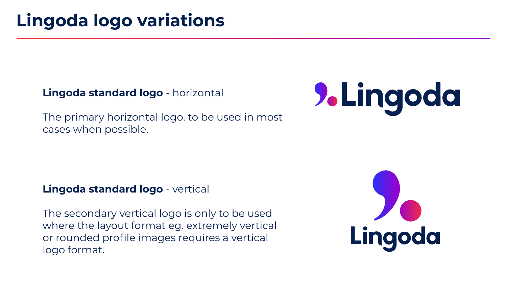### **Lingoda standard logo** - horizontal

The primary horizontal logo. to be used in most cases when possible.

### **Lingoda standard logo** - vertical

The secondary vertical logo is only to be used where the layout format eg. extremely vertical or rounded profile images requires a vertical logo format.



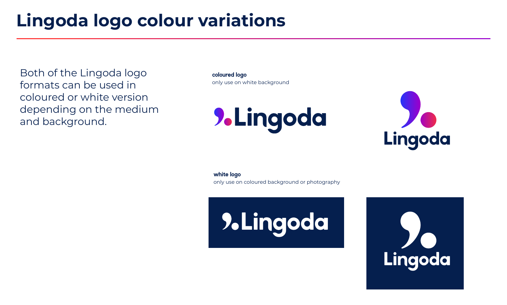**coloured logo** only use on white background

**white logo**







only use on coloured background or photography

# **S. Lingoda**



## **Lingoda logo colour variations**

Both of the Lingoda logo formats can be used in coloured or white version depending on the medium and background.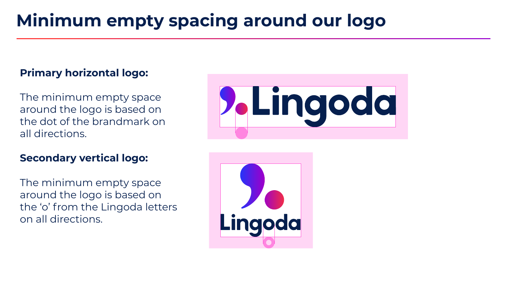### **Primary horizontal logo:**

The minimum empty space around the logo is based on the dot of the brandmark on all directions.

### **Secondary vertical logo:**

The minimum empty space around the logo is based on the 'o' from the Lingoda letters on all directions.





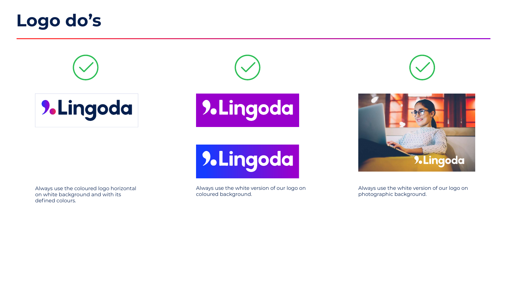





Always use the coloured logo horizontal on white background and with its defined colours.



Always use the white version of our logo on



coloured background.





Always use the white version of our logo on photographic background.